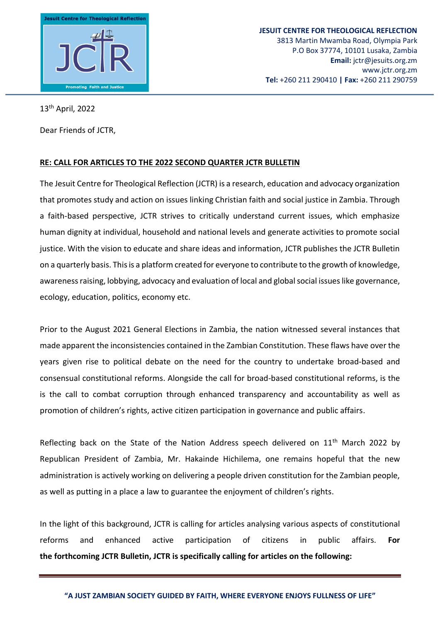

13th April, 2022

Dear Friends of JCTR,

## **RE: CALL FOR ARTICLES TO THE 2022 SECOND QUARTER JCTR BULLETIN**

The Jesuit Centre for Theological Reflection (JCTR) is a research, education and advocacy organization that promotes study and action on issues linking Christian faith and social justice in Zambia. Through a faith-based perspective, JCTR strives to critically understand current issues, which emphasize human dignity at individual, household and national levels and generate activities to promote social justice. With the vision to educate and share ideas and information, JCTR publishes the JCTR Bulletin on a quarterly basis. This is a platform created for everyone to contribute to the growth of knowledge, awareness raising, lobbying, advocacy and evaluation of local and global social issues like governance, ecology, education, politics, economy etc.

Prior to the August 2021 General Elections in Zambia, the nation witnessed several instances that made apparent the inconsistencies contained in the Zambian Constitution. These flaws have over the years given rise to political debate on the need for the country to undertake broad-based and consensual constitutional reforms. Alongside the call for broad-based constitutional reforms, is the is the call to combat corruption through enhanced transparency and accountability as well as promotion of children's rights, active citizen participation in governance and public affairs.

Reflecting back on the State of the Nation Address speech delivered on 11<sup>th</sup> March 2022 by Republican President of Zambia, Mr. Hakainde Hichilema, one remains hopeful that the new administration is actively working on delivering a people driven constitution for the Zambian people, as well as putting in a place a law to guarantee the enjoyment of children's rights.

In the light of this background, JCTR is calling for articles analysing various aspects of constitutional reforms and enhanced active participation of citizens in public affairs. **For the forthcoming JCTR Bulletin, JCTR is specifically calling for articles on the following:**